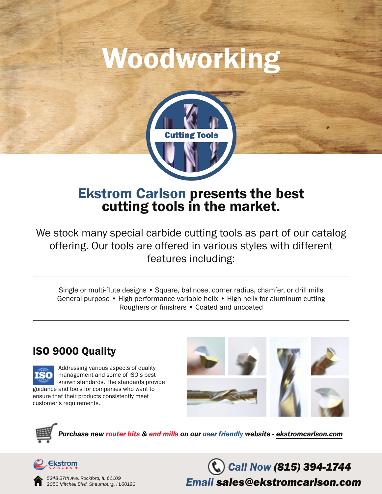# Woodworking



## Ekstrom Carlson presents the best cutting tools in the market.

We stock many special carbide cutting tools as part of our catalog offering. Our tools are offered in various styles with different features including:

Single or multi-flute designs • Square, ballnose, corner radius, chamfer, or drill mills General purpose • High performance variable helix • High helix for aluminum cutting Roughers or finishers • Coated and uncoated

#### ISO 9000 Quality



Addressing various aspects of quality management and some of ISO's best known standards. The standards provide guidance and tools for companies who want to ensure that their products consistently meet customer's requirements.



*Purchase new router bits & end mills on our user friendly website - ekstromcarlson.com*



*5248 27th Ave. Rockford, IL 61109 2050 Mitchell Blvd. Shaumburg, I L60193*

*Call Now (815) 394-1744 Email sales@ekstromcarlson.com*